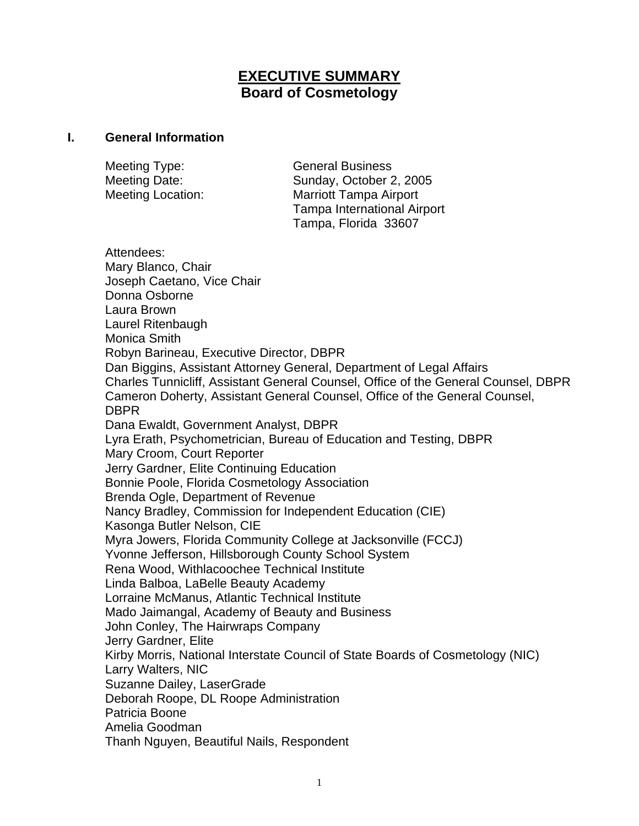# **EXECUTIVE SUMMARY Board of Cosmetology**

#### **I. General Information**

Meeting Type: General Business

Meeting Date: Sunday, October 2, 2005 Meeting Location: Marriott Tampa Airport Tampa International Airport Tampa, Florida 33607

Attendees: Mary Blanco, Chair Joseph Caetano, Vice Chair Donna Osborne Laura Brown Laurel Ritenbaugh Monica Smith Robyn Barineau, Executive Director, DBPR Dan Biggins, Assistant Attorney General, Department of Legal Affairs Charles Tunnicliff, Assistant General Counsel, Office of the General Counsel, DBPR Cameron Doherty, Assistant General Counsel, Office of the General Counsel, **DBPR** Dana Ewaldt, Government Analyst, DBPR Lyra Erath, Psychometrician, Bureau of Education and Testing, DBPR Mary Croom, Court Reporter Jerry Gardner, Elite Continuing Education Bonnie Poole, Florida Cosmetology Association Brenda Ogle, Department of Revenue Nancy Bradley, Commission for Independent Education (CIE) Kasonga Butler Nelson, CIE Myra Jowers, Florida Community College at Jacksonville (FCCJ) Yvonne Jefferson, Hillsborough County School System Rena Wood, Withlacoochee Technical Institute Linda Balboa, LaBelle Beauty Academy Lorraine McManus, Atlantic Technical Institute Mado Jaimangal, Academy of Beauty and Business John Conley, The Hairwraps Company Jerry Gardner, Elite Kirby Morris, National Interstate Council of State Boards of Cosmetology (NIC) Larry Walters, NIC Suzanne Dailey, LaserGrade Deborah Roope, DL Roope Administration Patricia Boone Amelia Goodman Thanh Nguyen, Beautiful Nails, Respondent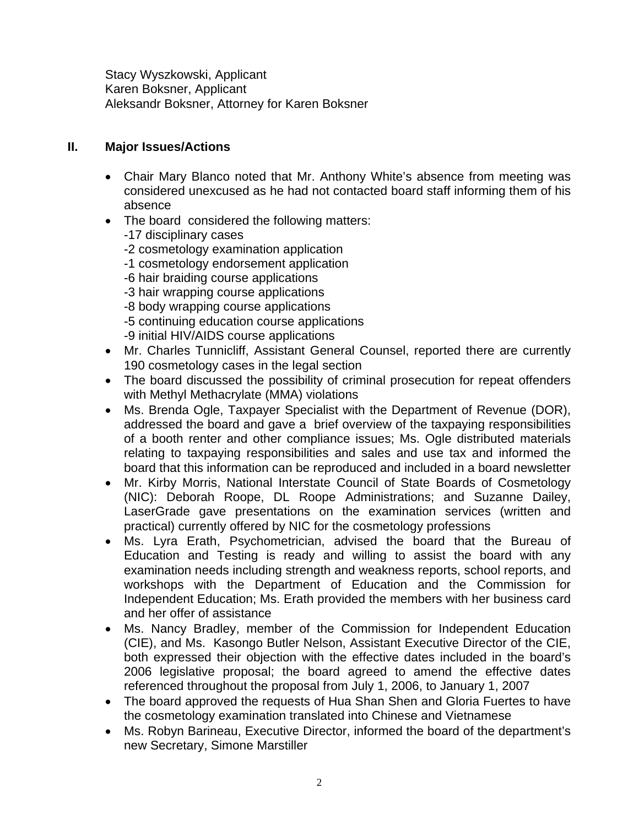Stacy Wyszkowski, Applicant Karen Boksner, Applicant Aleksandr Boksner, Attorney for Karen Boksner

#### **II. Major Issues/Actions**

- Chair Mary Blanco noted that Mr. Anthony White's absence from meeting was considered unexcused as he had not contacted board staff informing them of his absence
- The board considered the following matters:
	- -17 disciplinary cases
	- -2 cosmetology examination application
	- -1 cosmetology endorsement application
	- -6 hair braiding course applications
	- -3 hair wrapping course applications
	- -8 body wrapping course applications
	- -5 continuing education course applications
	- -9 initial HIV/AIDS course applications
- Mr. Charles Tunnicliff, Assistant General Counsel, reported there are currently 190 cosmetology cases in the legal section
- The board discussed the possibility of criminal prosecution for repeat offenders with Methyl Methacrylate (MMA) violations
- Ms. Brenda Ogle, Taxpayer Specialist with the Department of Revenue (DOR), addressed the board and gave a brief overview of the taxpaying responsibilities of a booth renter and other compliance issues; Ms. Ogle distributed materials relating to taxpaying responsibilities and sales and use tax and informed the board that this information can be reproduced and included in a board newsletter
- Mr. Kirby Morris, National Interstate Council of State Boards of Cosmetology (NIC): Deborah Roope, DL Roope Administrations; and Suzanne Dailey, LaserGrade gave presentations on the examination services (written and practical) currently offered by NIC for the cosmetology professions
- Ms. Lyra Erath, Psychometrician, advised the board that the Bureau of Education and Testing is ready and willing to assist the board with any examination needs including strength and weakness reports, school reports, and workshops with the Department of Education and the Commission for Independent Education; Ms. Erath provided the members with her business card and her offer of assistance
- Ms. Nancy Bradley, member of the Commission for Independent Education (CIE), and Ms. Kasongo Butler Nelson, Assistant Executive Director of the CIE, both expressed their objection with the effective dates included in the board's 2006 legislative proposal; the board agreed to amend the effective dates referenced throughout the proposal from July 1, 2006, to January 1, 2007
- The board approved the requests of Hua Shan Shen and Gloria Fuertes to have the cosmetology examination translated into Chinese and Vietnamese
- Ms. Robyn Barineau, Executive Director, informed the board of the department's new Secretary, Simone Marstiller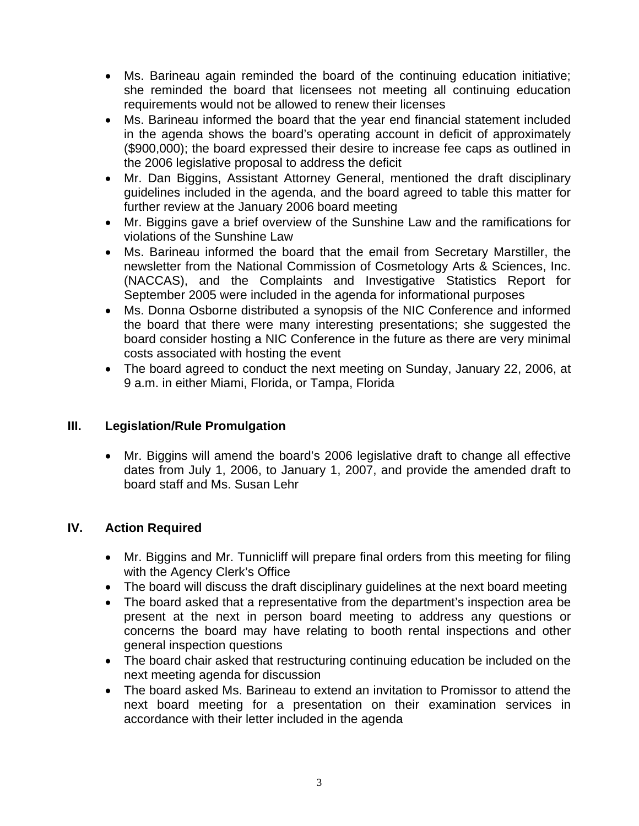- Ms. Barineau again reminded the board of the continuing education initiative; she reminded the board that licensees not meeting all continuing education requirements would not be allowed to renew their licenses
- Ms. Barineau informed the board that the year end financial statement included in the agenda shows the board's operating account in deficit of approximately (\$900,000); the board expressed their desire to increase fee caps as outlined in the 2006 legislative proposal to address the deficit
- Mr. Dan Biggins, Assistant Attorney General, mentioned the draft disciplinary guidelines included in the agenda, and the board agreed to table this matter for further review at the January 2006 board meeting
- Mr. Biggins gave a brief overview of the Sunshine Law and the ramifications for violations of the Sunshine Law
- Ms. Barineau informed the board that the email from Secretary Marstiller, the newsletter from the National Commission of Cosmetology Arts & Sciences, Inc. (NACCAS), and the Complaints and Investigative Statistics Report for September 2005 were included in the agenda for informational purposes
- Ms. Donna Osborne distributed a synopsis of the NIC Conference and informed the board that there were many interesting presentations; she suggested the board consider hosting a NIC Conference in the future as there are very minimal costs associated with hosting the event
- The board agreed to conduct the next meeting on Sunday, January 22, 2006, at 9 a.m. in either Miami, Florida, or Tampa, Florida

## **III. Legislation/Rule Promulgation**

• Mr. Biggins will amend the board's 2006 legislative draft to change all effective dates from July 1, 2006, to January 1, 2007, and provide the amended draft to board staff and Ms. Susan Lehr

### **IV. Action Required**

- Mr. Biggins and Mr. Tunnicliff will prepare final orders from this meeting for filing with the Agency Clerk's Office
- The board will discuss the draft disciplinary guidelines at the next board meeting
- The board asked that a representative from the department's inspection area be present at the next in person board meeting to address any questions or concerns the board may have relating to booth rental inspections and other general inspection questions
- The board chair asked that restructuring continuing education be included on the next meeting agenda for discussion
- The board asked Ms. Barineau to extend an invitation to Promissor to attend the next board meeting for a presentation on their examination services in accordance with their letter included in the agenda